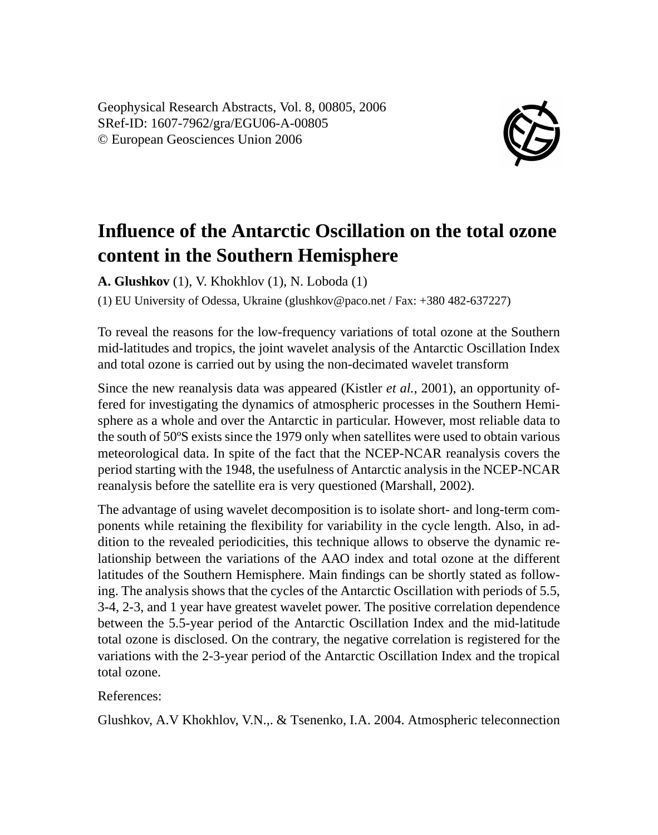Geophysical Research Abstracts, Vol. 8, 00805, 2006 SRef-ID: 1607-7962/gra/EGU06-A-00805 © European Geosciences Union 2006



## **Influence of the Antarctic Oscillation on the total ozone content in the Southern Hemisphere**

**A. Glushkov** (1), V. Khokhlov (1), N. Loboda (1)

(1) EU University of Odessa, Ukraine (glushkov@paco.net / Fax: +380 482-637227)

To reveal the reasons for the low-frequency variations of total ozone at the Southern mid-latitudes and tropics, the joint wavelet analysis of the Antarctic Oscillation Index and total ozone is carried out by using the non-decimated wavelet transform

Since the new reanalysis data was appeared (Kistler *et al.*, 2001), an opportunity offered for investigating the dynamics of atmospheric processes in the Southern Hemisphere as a whole and over the Antarctic in particular. However, most reliable data to the south of 50ºS exists since the 1979 only when satellites were used to obtain various meteorological data. In spite of the fact that the NCEP-NCAR reanalysis covers the period starting with the 1948, the usefulness of Antarctic analysis in the NCEP-NCAR reanalysis before the satellite era is very questioned (Marshall, 2002).

The advantage of using wavelet decomposition is to isolate short- and long-term components while retaining the flexibility for variability in the cycle length. Also, in addition to the revealed periodicities, this technique allows to observe the dynamic relationship between the variations of the AAO index and total ozone at the different latitudes of the Southern Hemisphere. Main findings can be shortly stated as following. The analysis shows that the cycles of the Antarctic Oscillation with periods of 5.5, 3-4, 2-3, and 1 year have greatest wavelet power. The positive correlation dependence between the 5.5-year period of the Antarctic Oscillation Index and the mid-latitude total ozone is disclosed. On the contrary, the negative correlation is registered for the variations with the 2-3-year period of the Antarctic Oscillation Index and the tropical total ozone.

## References:

Glushkov, A.V Khokhlov, V.N.,. & Tsenenko, I.A. 2004. Atmospheric teleconnection